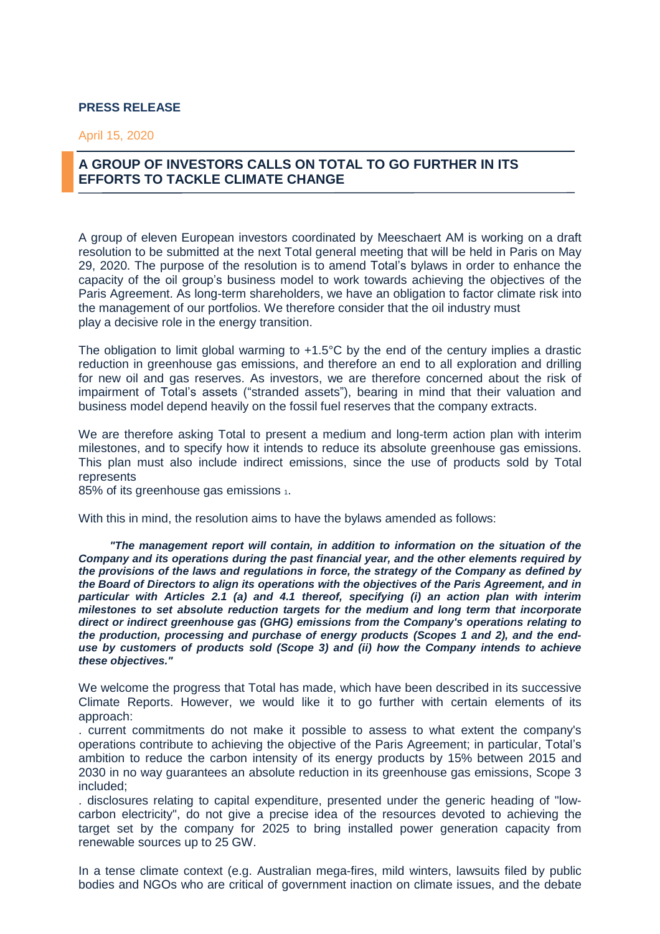#### **PRESS RELEASE**

April 15, 2020

#### **A GROUP OF INVESTORS CALLS ON TOTAL TO GO FURTHER IN ITS EFFORTS TO TACKLE CLIMATE CHANGE**

A group of eleven European investors coordinated by Meeschaert AM is working on a draft resolution to be submitted at the next Total general meeting that will be held in Paris on May 29, 2020. The purpose of the resolution is to amend Total's bylaws in order to enhance the capacity of the oil group's business model to work towards achieving the objectives of the Paris Agreement. As long-term shareholders, we have an obligation to factor climate risk into the management of our portfolios. We therefore consider that the oil industry must play a decisive role in the energy transition.

The obligation to limit global warming to +1.5°C by the end of the century implies a drastic reduction in greenhouse gas emissions, and therefore an end to all exploration and drilling for new oil and gas reserves. As investors, we are therefore concerned about the risk of impairment of Total's assets ("stranded assets"), bearing in mind that their valuation and business model depend heavily on the fossil fuel reserves that the company extracts.

We are therefore asking Total to present a medium and long-term action plan with interim milestones, and to specify how it intends to reduce its absolute greenhouse gas emissions. This plan must also include indirect emissions, since the use of products sold by Total represents

85% of its greenhouse gas emissions 1.

With this in mind, the resolution aims to have the bylaws amended as follows:

*"The management report will contain, in addition to information on the situation of the Company and its operations during the past financial year, and the other elements required by the provisions of the laws and regulations in force, the strategy of the Company as defined by the Board of Directors to align its operations with the objectives of the Paris Agreement, and in particular with Articles 2.1 (a) and 4.1 thereof, specifying (i) an action plan with interim milestones to set absolute reduction targets for the medium and long term that incorporate direct or indirect greenhouse gas (GHG) emissions from the Company's operations relating to the production, processing and purchase of energy products (Scopes 1 and 2), and the enduse by customers of products sold (Scope 3) and (ii) how the Company intends to achieve these objectives."*

We welcome the progress that Total has made, which have been described in its successive Climate Reports. However, we would like it to go further with certain elements of its approach:

. current commitments do not make it possible to assess to what extent the company's operations contribute to achieving the objective of the Paris Agreement; in particular, Total's ambition to reduce the carbon intensity of its energy products by 15% between 2015 and 2030 in no way guarantees an absolute reduction in its greenhouse gas emissions, Scope 3 included;

. disclosures relating to capital expenditure, presented under the generic heading of "lowcarbon electricity", do not give a precise idea of the resources devoted to achieving the target set by the company for 2025 to bring installed power generation capacity from renewable sources up to 25 GW.

In a tense climate context (e.g. Australian mega-fires, mild winters, lawsuits filed by public bodies and NGOs who are critical of government inaction on climate issues, and the debate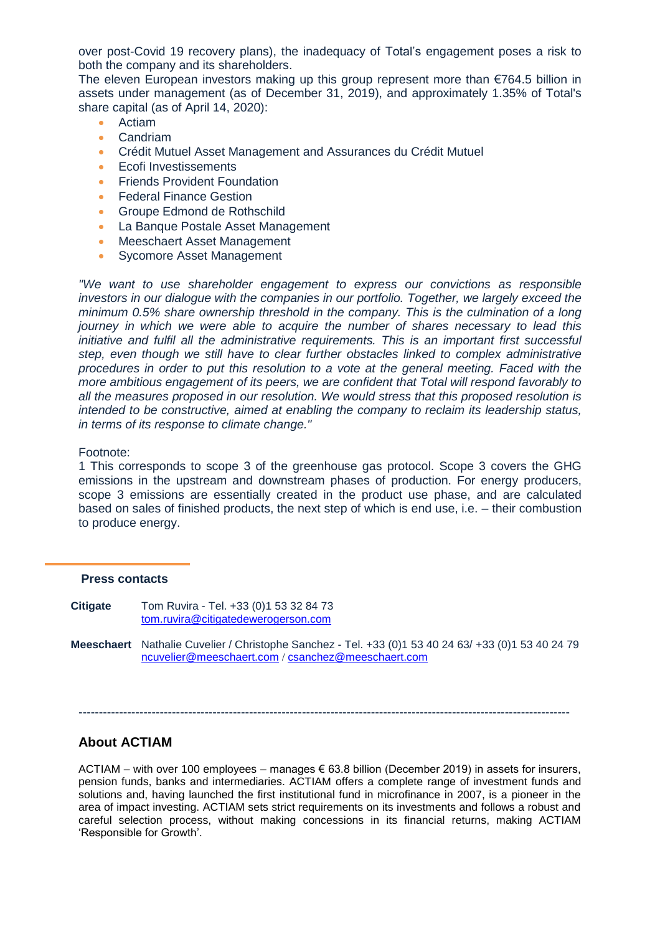over post-Covid 19 recovery plans), the inadequacy of Total's engagement poses a risk to both the company and its shareholders.

The eleven European investors making up this group represent more than €764.5 billion in assets under management (as of December 31, 2019), and approximately 1.35% of Total's share capital (as of April 14, 2020):

- Actiam
- Candriam
- Crédit Mutuel Asset Management and Assurances du Crédit Mutuel
- **Ecofi Investissements**
- **•** Friends Provident Foundation
- Federal Finance Gestion
- **Groupe Edmond de Rothschild**
- La Banque Postale Asset Management
- **Meeschaert Asset Management**
- Sycomore Asset Management

*"We want to use shareholder engagement to express our convictions as responsible investors in our dialogue with the companies in our portfolio. Together, we largely exceed the minimum 0.5% share ownership threshold in the company. This is the culmination of a long journey in which we were able to acquire the number of shares necessary to lead this initiative and fulfil all the administrative requirements. This is an important first successful step, even though we still have to clear further obstacles linked to complex administrative procedures in order to put this resolution to a vote at the general meeting. Faced with the more ambitious engagement of its peers, we are confident that Total will respond favorably to all the measures proposed in our resolution. We would stress that this proposed resolution is intended to be constructive, aimed at enabling the company to reclaim its leadership status, in terms of its response to climate change."*

#### Footnote:

1 This corresponds to scope 3 of the greenhouse gas protocol. Scope 3 covers the GHG emissions in the upstream and downstream phases of production. For energy producers, scope 3 emissions are essentially created in the product use phase, and are calculated based on sales of finished products, the next step of which is end use, i.e. – their combustion to produce energy.

#### **Press contacts**

**Citigate** Tom Ruvira - Tel. +33 (0)1 53 32 84 73 [tom.ruvira@citigatedewerogerson.com](mailto:tom.ruvira@citigatedewerogerson.com)

**Meeschaert** Nathalie Cuvelier / Christophe Sanchez - Tel. +33 (0)1 53 40 24 63/ +33 (0)1 53 40 24 79 [ncuvelier@meeschaert.com](mailto:ncuvelier@meeschaert.com) / [csanchez@meeschaert.com](mailto:csanchez@meeschaert.com)

-------------------------------------------------------------------------------------------------------------------------

#### **About ACTIAM**

ACTIAM – with over 100 employees – manages € 63.8 billion (December 2019) in assets for insurers, pension funds, banks and intermediaries. ACTIAM offers a complete range of investment funds and solutions and, having launched the first institutional fund in microfinance in 2007, is a pioneer in the area of impact investing. ACTIAM sets strict requirements on its investments and follows a robust and careful selection process, without making concessions in its financial returns, making ACTIAM 'Responsible for Growth'.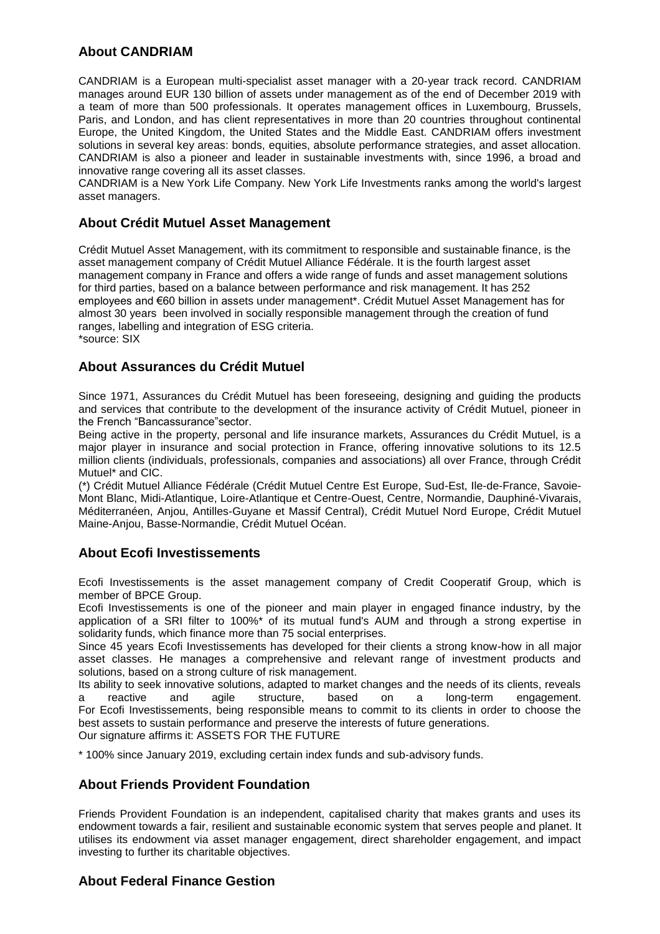# **About CANDRIAM**

CANDRIAM is a European multi-specialist asset manager with a 20-year track record. CANDRIAM manages around EUR 130 billion of assets under management as of the end of December 2019 with a team of more than 500 professionals. It operates management offices in Luxembourg, Brussels, Paris, and London, and has client representatives in more than 20 countries throughout continental Europe, the United Kingdom, the United States and the Middle East. CANDRIAM offers investment solutions in several key areas: bonds, equities, absolute performance strategies, and asset allocation. CANDRIAM is also a pioneer and leader in sustainable investments with, since 1996, a broad and innovative range covering all its asset classes.

CANDRIAM is a New York Life Company. New York Life Investments ranks among the world's largest asset managers.

## **About Crédit Mutuel Asset Management**

Crédit Mutuel Asset Management, with its commitment to responsible and sustainable finance, is the asset management company of Crédit Mutuel Alliance Fédérale. It is the fourth largest asset management company in France and offers a wide range of funds and asset management solutions for third parties, based on a balance between performance and risk management. It has 252 employees and €60 billion in assets under management\*. Crédit Mutuel Asset Management has for almost 30 years been involved in socially responsible management through the creation of fund ranges, labelling and integration of ESG criteria. \*source: SIX

### **About Assurances du Crédit Mutuel**

Since 1971, Assurances du Crédit Mutuel has been foreseeing, designing and guiding the products and services that contribute to the development of the insurance activity of Crédit Mutuel, pioneer in the French "Bancassurance"sector.

Being active in the property, personal and life insurance markets, Assurances du Crédit Mutuel, is a major player in insurance and social protection in France, offering innovative solutions to its 12.5 million clients (individuals, professionals, companies and associations) all over France, through Crédit Mutuel\* and CIC.

(\*) Crédit Mutuel Alliance Fédérale (Crédit Mutuel Centre Est Europe, Sud-Est, Ile-de-France, Savoie-Mont Blanc, Midi-Atlantique, Loire-Atlantique et Centre-Ouest, Centre, Normandie, Dauphiné-Vivarais, Méditerranéen, Anjou, Antilles-Guyane et Massif Central), Crédit Mutuel Nord Europe, Crédit Mutuel Maine-Anjou, Basse-Normandie, Crédit Mutuel Océan.

## **About Ecofi Investissements**

Ecofi Investissements is the asset management company of Credit Cooperatif Group, which is member of BPCE Group.

Ecofi Investissements is one of the pioneer and main player in engaged finance industry, by the application of a SRI filter to 100%\* of its mutual fund's AUM and through a strong expertise in solidarity funds, which finance more than 75 social enterprises.

Since 45 years Ecofi Investissements has developed for their clients a strong know-how in all major asset classes. He manages a comprehensive and relevant range of investment products and solutions, based on a strong culture of risk management.

Its ability to seek innovative solutions, adapted to market changes and the needs of its clients, reveals a reactive and agile structure, based on a long-term engagement. For Ecofi Investissements, being responsible means to commit to its clients in order to choose the best assets to sustain performance and preserve the interests of future generations. Our signature affirms it: ASSETS FOR THE FUTURE

\* 100% since January 2019, excluding certain index funds and sub-advisory funds.

#### **About Friends Provident Foundation**

Friends Provident Foundation is an independent, capitalised charity that makes grants and uses its endowment towards a fair, resilient and sustainable economic system that serves people and planet. It utilises its endowment via asset manager engagement, direct shareholder engagement, and impact investing to further its charitable objectives.

#### **About Federal Finance Gestion**